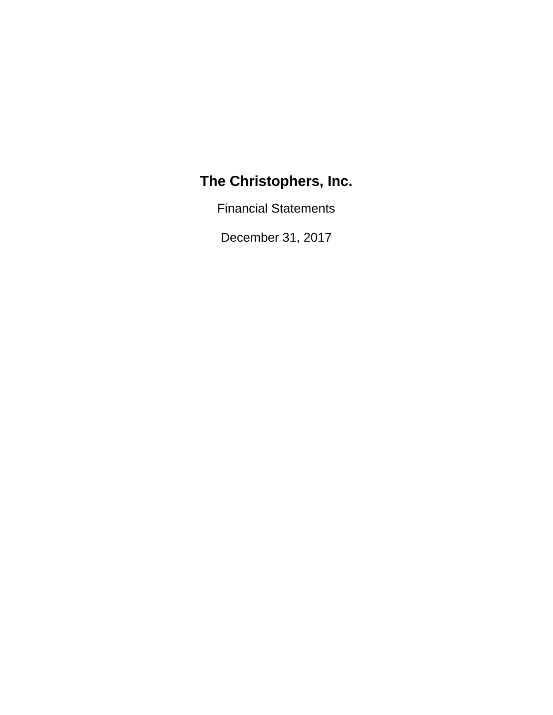Financial Statements

December 31, 2017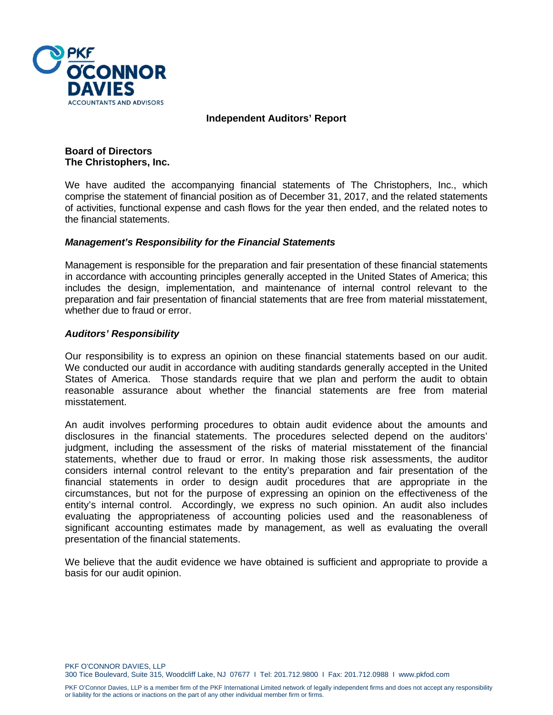

**Independent Auditors' Report** 

**Board of Directors The Christophers, Inc.** 

We have audited the accompanying financial statements of The Christophers, Inc., which comprise the statement of financial position as of December 31, 2017, and the related statements of activities, functional expense and cash flows for the year then ended, and the related notes to the financial statements.

## *Management's Responsibility for the Financial Statements*

Management is responsible for the preparation and fair presentation of these financial statements in accordance with accounting principles generally accepted in the United States of America; this includes the design, implementation, and maintenance of internal control relevant to the preparation and fair presentation of financial statements that are free from material misstatement, whether due to fraud or error.

## *Auditors' Responsibility*

Our responsibility is to express an opinion on these financial statements based on our audit. We conducted our audit in accordance with auditing standards generally accepted in the United States of America. Those standards require that we plan and perform the audit to obtain reasonable assurance about whether the financial statements are free from material misstatement.

An audit involves performing procedures to obtain audit evidence about the amounts and disclosures in the financial statements. The procedures selected depend on the auditors' judgment, including the assessment of the risks of material misstatement of the financial statements, whether due to fraud or error. In making those risk assessments, the auditor considers internal control relevant to the entity's preparation and fair presentation of the financial statements in order to design audit procedures that are appropriate in the circumstances, but not for the purpose of expressing an opinion on the effectiveness of the entity's internal control. Accordingly, we express no such opinion. An audit also includes evaluating the appropriateness of accounting policies used and the reasonableness of significant accounting estimates made by management, as well as evaluating the overall presentation of the financial statements.

We believe that the audit evidence we have obtained is sufficient and appropriate to provide a basis for our audit opinion.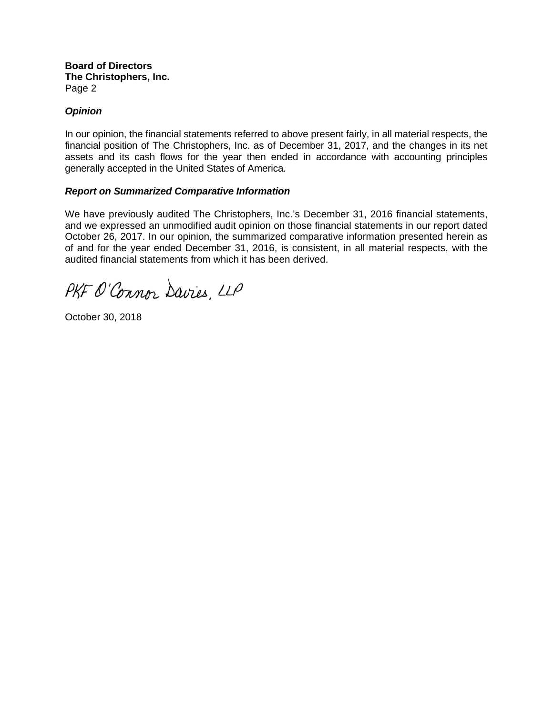**Board of Directors The Christophers, Inc.**  Page 2

## *Opinion*

In our opinion, the financial statements referred to above present fairly, in all material respects, the financial position of The Christophers, Inc. as of December 31, 2017, and the changes in its net assets and its cash flows for the year then ended in accordance with accounting principles generally accepted in the United States of America.

## *Report on Summarized Comparative Information*

We have previously audited The Christophers, Inc.'s December 31, 2016 financial statements, and we expressed an unmodified audit opinion on those financial statements in our report dated October 26, 2017. In our opinion, the summarized comparative information presented herein as of and for the year ended December 31, 2016, is consistent, in all material respects, with the audited financial statements from which it has been derived.

PKF O'Connor Davies, LLP

October 30, 2018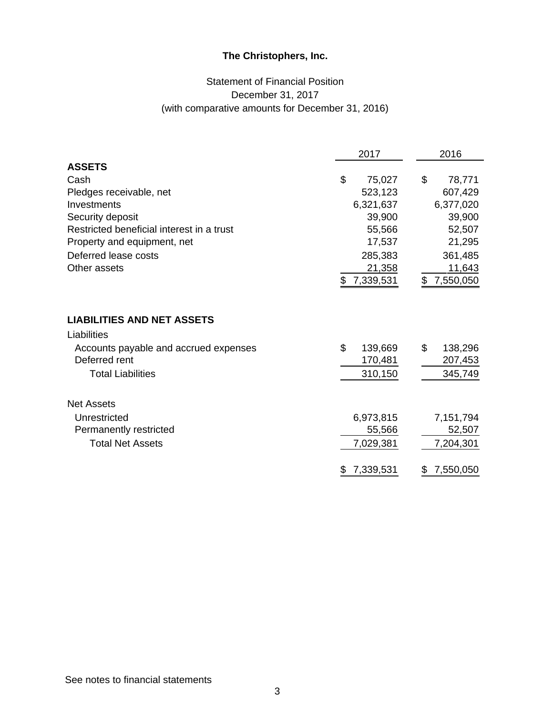## Statement of Financial Position December 31, 2017 (with comparative amounts for December 31, 2016)

|                                                                                                                                        | 2017                                | 2016                                |
|----------------------------------------------------------------------------------------------------------------------------------------|-------------------------------------|-------------------------------------|
| <b>ASSETS</b>                                                                                                                          |                                     |                                     |
| Cash                                                                                                                                   | \$<br>75,027                        | \$<br>78,771                        |
| Pledges receivable, net                                                                                                                | 523,123                             | 607,429                             |
| Investments                                                                                                                            | 6,321,637                           | 6,377,020                           |
| Security deposit                                                                                                                       | 39,900                              | 39,900                              |
| Restricted beneficial interest in a trust                                                                                              | 55,566                              | 52,507                              |
| Property and equipment, net                                                                                                            | 17,537                              | 21,295                              |
| Deferred lease costs                                                                                                                   | 285,383                             | 361,485                             |
| Other assets                                                                                                                           | 21,358                              | 11,643                              |
|                                                                                                                                        | 7,339,531<br>S                      | 7,550,050<br>S.                     |
| <b>LIABILITIES AND NET ASSETS</b><br>Liabilities<br>Accounts payable and accrued expenses<br>Deferred rent<br><b>Total Liabilities</b> | \$<br>139,669<br>170,481<br>310,150 | \$<br>138,296<br>207,453<br>345,749 |
| <b>Net Assets</b>                                                                                                                      |                                     |                                     |
| Unrestricted                                                                                                                           | 6,973,815                           | 7,151,794                           |
| Permanently restricted                                                                                                                 | 55,566                              | 52,507                              |
| <b>Total Net Assets</b>                                                                                                                | 7,029,381                           | 7,204,301                           |
|                                                                                                                                        | 7,339,531<br>\$                     | 7,550,050<br>\$                     |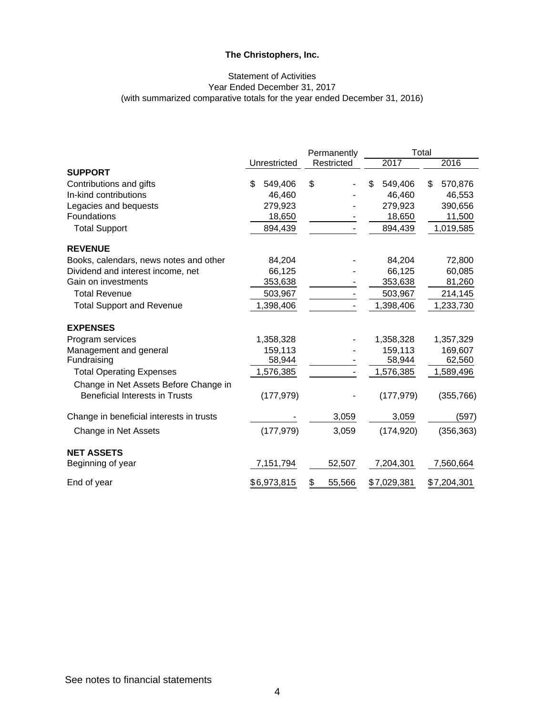#### Statement of Activities Year Ended December 31, 2017 (with summarized comparative totals for the year ended December 31, 2016)

|                                          |               | Permanently  | Total         |               |
|------------------------------------------|---------------|--------------|---------------|---------------|
|                                          | Unrestricted  | Restricted   | 2017          | 2016          |
| <b>SUPPORT</b>                           |               |              |               |               |
| Contributions and gifts                  | \$<br>549,406 | \$           | 549,406<br>\$ | \$<br>570,876 |
| In-kind contributions                    | 46,460        |              | 46,460        | 46,553        |
| Legacies and bequests                    | 279,923       |              | 279,923       | 390,656       |
| Foundations                              | 18,650        |              | 18,650        | 11,500        |
| <b>Total Support</b>                     | 894,439       |              | 894,439       | 1,019,585     |
| <b>REVENUE</b>                           |               |              |               |               |
| Books, calendars, news notes and other   | 84,204        |              | 84,204        | 72,800        |
| Dividend and interest income, net        | 66,125        |              | 66,125        | 60,085        |
| Gain on investments                      | 353,638       |              | 353,638       | 81,260        |
| <b>Total Revenue</b>                     | 503,967       |              | 503,967       | 214,145       |
| <b>Total Support and Revenue</b>         | 1,398,406     |              | 1,398,406     | 1,233,730     |
| <b>EXPENSES</b>                          |               |              |               |               |
| Program services                         | 1,358,328     |              | 1,358,328     | 1,357,329     |
| Management and general                   | 159,113       |              | 159,113       | 169,607       |
| Fundraising                              | 58,944        |              | 58,944        | 62,560        |
| <b>Total Operating Expenses</b>          | 1,576,385     |              | 1,576,385     | 1,589,496     |
| Change in Net Assets Before Change in    |               |              |               |               |
| <b>Beneficial Interests in Trusts</b>    | (177, 979)    |              | (177, 979)    | (355, 766)    |
| Change in beneficial interests in trusts |               | 3,059        | 3,059         | (597)         |
| Change in Net Assets                     | (177, 979)    | 3,059        | (174, 920)    | (356, 363)    |
| <b>NET ASSETS</b>                        |               |              |               |               |
| Beginning of year                        | 7,151,794     | 52,507       | 7,204,301     | 7,560,664     |
| End of year                              | \$6,973,815   | 55,566<br>\$ | \$7,029,381   | \$7,204,301   |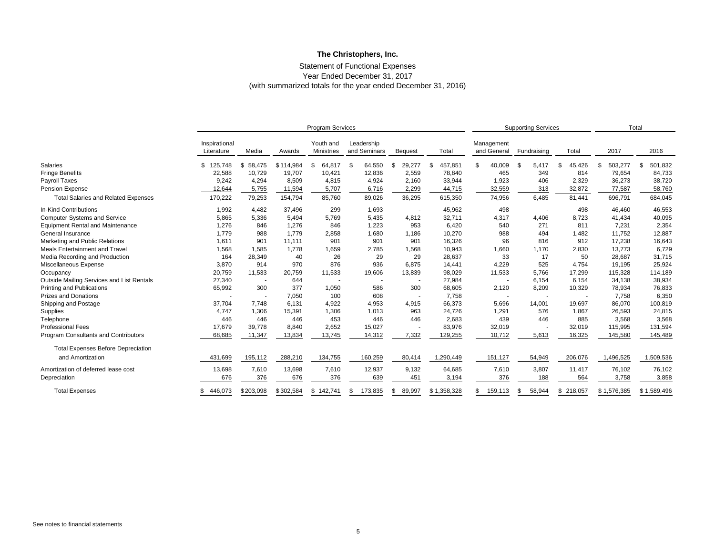#### Statement of Functional Expenses Year Ended December 31, 2017 (with summarized totals for the year ended December 31, 2016)

|                                            | <b>Program Services</b>     |              |           |                         |                            |                          |               | <b>Supporting Services</b> |        |              | Total     |                |                |
|--------------------------------------------|-----------------------------|--------------|-----------|-------------------------|----------------------------|--------------------------|---------------|----------------------------|--------|--------------|-----------|----------------|----------------|
|                                            | Inspirational<br>Literature | Media        | Awards    | Youth and<br>Ministries | Leadership<br>and Seminars | <b>Bequest</b>           | Total         | Management<br>and General  |        | Fundraising  | Total     | 2017           | 2016           |
| Salaries                                   | 125,748                     | 58,475<br>\$ | \$114,984 | 64,817<br>\$            | \$<br>64,550               | 29,277<br>\$             | 457,851<br>\$ | \$                         | 40,009 | 5,417<br>\$  | 45,426    | 503,277<br>\$. | 501,832<br>\$. |
| <b>Fringe Benefits</b>                     | 22,588                      | 10,729       | 19,707    | 10,421                  | 12,836                     | 2,559                    | 78,840        |                            | 465    | 349          | 814       | 79,654         | 84,733         |
| Payroll Taxes                              | 9,242                       | 4,294        | 8,509     | 4,815                   | 4,924                      | 2,160                    | 33,944        |                            | 1,923  | 406          | 2,329     | 36,273         | 38,720         |
| <b>Pension Expense</b>                     | 12,644                      | 5,755        | 11,594    | 5,707                   | 6,716                      | 2,299                    | 44,715        | 32,559                     |        | 313          | 32,872    | 77,587         | 58,760         |
| <b>Total Salaries and Related Expenses</b> | 170,222                     | 79,253       | 154,794   | 85,760                  | 89,026                     | 36,295                   | 615,350       | 74,956                     |        | 6,485        | 81.441    | 696,791        | 684,045        |
| In-Kind Contributions                      | 1,992                       | 4,482        | 37,496    | 299                     | 1,693                      | $\overline{\phantom{a}}$ | 45,962        |                            | 498    |              | 498       | 46,460         | 46,553         |
| <b>Computer Systems and Service</b>        | 5,865                       | 5,336        | 5,494     | 5,769                   | 5,435                      | 4,812                    | 32,711        |                            | 4,317  | 4,406        | 8,723     | 41,434         | 40,095         |
| <b>Equipment Rental and Maintenance</b>    | 1.276                       | 846          | 1.276     | 846                     | 1,223                      | 953                      | 6,420         |                            | 540    | 271          | 811       | 7.231          | 2,354          |
| General Insurance                          | 1,779                       | 988          | 1,779     | 2,858                   | 1,680                      | 1,186                    | 10,270        |                            | 988    | 494          | 1,482     | 11,752         | 12,887         |
| Marketing and Public Relations             | 1,611                       | 901          | 11,111    | 901                     | 901                        | 901                      | 16,326        |                            | 96     | 816          | 912       | 17,238         | 16,643         |
| Meals Entertainment and Travel             | 1,568                       | 1,585        | 1,778     | 1,659                   | 2,785                      | 1,568                    | 10,943        |                            | 1,660  | 1,170        | 2,830     | 13,773         | 6,729          |
| Media Recording and Production             | 164                         | 28,349       | 40        | 26                      | 29                         | 29                       | 28,637        |                            | 33     | 17           | 50        | 28,687         | 31,715         |
| Miscellaneous Expense                      | 3,870                       | 914          | 970       | 876                     | 936                        | 6,875                    | 14,441        |                            | 4,229  | 525          | 4,754     | 19,195         | 25,924         |
| Occupancy                                  | 20,759                      | 11,533       | 20,759    | 11,533                  | 19,606                     | 13,839                   | 98,029        | 11,533                     |        | 5,766        | 17,299    | 115,328        | 114,189        |
| Outside Mailing Services and List Rentals  | 27,340                      | . .          | 644       |                         |                            | $\overline{\phantom{a}}$ | 27,984        |                            |        | 6,154        | 6,154     | 34,138         | 38,934         |
| Printing and Publications                  | 65,992                      | 300          | 377       | 1,050                   | 586                        | 300                      | 68,605        |                            | 2,120  | 8,209        | 10,329    | 78,934         | 76,833         |
| <b>Prizes and Donations</b>                |                             |              | 7.050     | 100                     | 608                        |                          | 7,758         |                            |        |              |           | 7.758          | 6,350          |
| Shipping and Postage                       | 37,704                      | 7,748        | 6,131     | 4,922                   | 4,953                      | 4,915                    | 66,373        |                            | 5,696  | 14,001       | 19,697    | 86,070         | 100,819        |
| Supplies                                   | 4,747                       | 1,306        | 15,391    | 1,306                   | 1,013                      | 963                      | 24,726        |                            | 1,291  | 576          | 1,867     | 26,593         | 24,815         |
| Telephone                                  | 446                         | 446          | 446       | 453                     | 446                        | 446                      | 2,683         |                            | 439    | 446          | 885       | 3,568          | 3,568          |
| <b>Professional Fees</b>                   | 17,679                      | 39,778       | 8,840     | 2,652                   | 15,027                     | ٠                        | 83,976        | 32,019                     |        |              | 32,019    | 115,995        | 131,594        |
| Program Consultants and Contributors       | 68,685                      | 11,347       | 13,834    | 13,745                  | 14,312                     | 7,332                    | 129,255       | 10,712                     |        | 5,613        | 16,325    | 145,580        | 145,489        |
| <b>Total Expenses Before Depreciation</b>  |                             |              |           |                         |                            |                          |               |                            |        |              |           |                |                |
| and Amortization                           | 431,699                     | 195,112      | 288,210   | 134,755                 | 160,259                    | 80,414                   | 1,290,449     | 151,127                    |        | 54,949       | 206,076   | 1,496,525      | 1,509,536      |
| Amortization of deferred lease cost        | 13,698                      | 7,610        | 13,698    | 7,610                   | 12,937                     | 9,132                    | 64,685        |                            | 7,610  | 3,807        | 11,417    | 76,102         | 76,102         |
| Depreciation                               | 676                         | 376          | 676       | 376                     | 639                        | 451                      | 3,194         |                            | 376    | 188          | 564       | 3,758          | 3,858          |
| <b>Total Expenses</b>                      | 446,073<br>\$               | \$203,098    | \$302,584 | \$142,741               | 173,835<br>S               | 89,997<br>S.             | \$1,358,328   | 159,113<br>\$              |        | 58,944<br>S. | \$218,057 | \$1,576,385    | \$1,589,496    |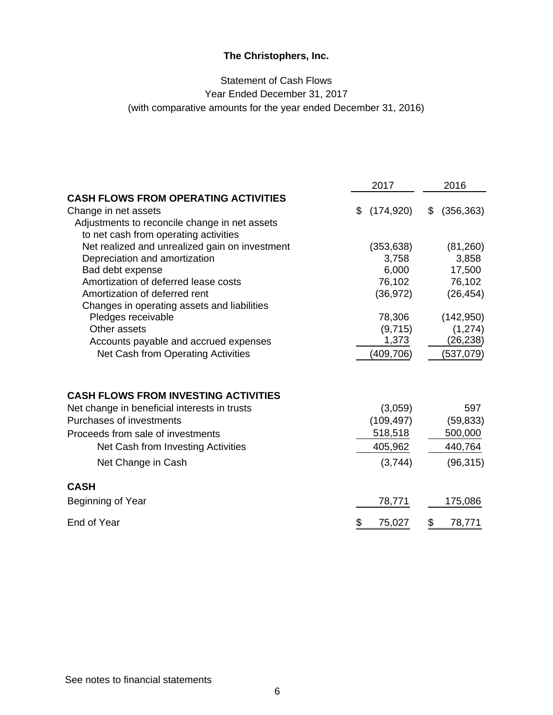# Statement of Cash Flows Year Ended December 31, 2017 (with comparative amounts for the year ended December 31, 2016)

|                                                                             | 2017              | 2016                  |
|-----------------------------------------------------------------------------|-------------------|-----------------------|
| <b>CASH FLOWS FROM OPERATING ACTIVITIES</b>                                 |                   |                       |
| Change in net assets                                                        | (174, 920)<br>\$  | (356, 363)<br>\$      |
| Adjustments to reconcile change in net assets                               |                   |                       |
| to net cash from operating activities                                       |                   |                       |
| Net realized and unrealized gain on investment                              | (353, 638)        | (81, 260)             |
| Depreciation and amortization                                               | 3,758             | 3,858                 |
| Bad debt expense                                                            | 6,000             | 17,500                |
| Amortization of deferred lease costs                                        | 76,102            | 76,102                |
| Amortization of deferred rent                                               | (36, 972)         | (26, 454)             |
| Changes in operating assets and liabilities                                 |                   |                       |
| Pledges receivable<br>Other assets                                          | 78,306<br>(9,715) | (142, 950)            |
|                                                                             | 1,373             | (1, 274)<br>(26, 238) |
| Accounts payable and accrued expenses<br>Net Cash from Operating Activities | (409, 706)        | (537,079)             |
|                                                                             |                   |                       |
| <b>CASH FLOWS FROM INVESTING ACTIVITIES</b>                                 |                   |                       |
| Net change in beneficial interests in trusts                                | (3,059)           | 597                   |
| Purchases of investments                                                    | (109, 497)        | (59, 833)             |
| Proceeds from sale of investments                                           | 518,518           | 500,000               |
| Net Cash from Investing Activities                                          | 405,962           | 440,764               |
| Net Change in Cash                                                          | (3,744)           | (96, 315)             |
| <b>CASH</b>                                                                 |                   |                       |
| Beginning of Year                                                           | 78,771            | 175,086               |
| End of Year                                                                 | \$<br>75,027      | 78,771<br>\$          |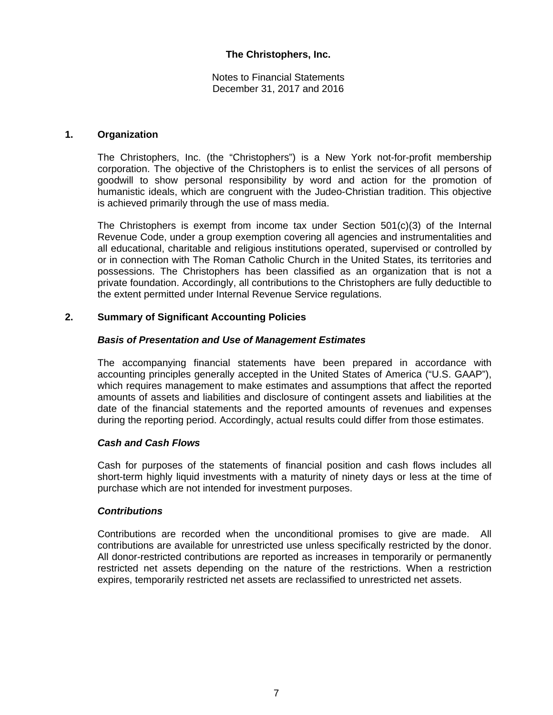Notes to Financial Statements December 31, 2017 and 2016

## **1. Organization**

The Christophers, Inc. (the "Christophers") is a New York not-for-profit membership corporation. The objective of the Christophers is to enlist the services of all persons of goodwill to show personal responsibility by word and action for the promotion of humanistic ideals, which are congruent with the Judeo-Christian tradition. This objective is achieved primarily through the use of mass media.

The Christophers is exempt from income tax under Section  $501(c)(3)$  of the Internal Revenue Code, under a group exemption covering all agencies and instrumentalities and all educational, charitable and religious institutions operated, supervised or controlled by or in connection with The Roman Catholic Church in the United States, its territories and possessions. The Christophers has been classified as an organization that is not a private foundation. Accordingly, all contributions to the Christophers are fully deductible to the extent permitted under Internal Revenue Service regulations.

## **2. Summary of Significant Accounting Policies**

## *Basis of Presentation and Use of Management Estimates*

The accompanying financial statements have been prepared in accordance with accounting principles generally accepted in the United States of America ("U.S. GAAP"), which requires management to make estimates and assumptions that affect the reported amounts of assets and liabilities and disclosure of contingent assets and liabilities at the date of the financial statements and the reported amounts of revenues and expenses during the reporting period. Accordingly, actual results could differ from those estimates.

## *Cash and Cash Flows*

Cash for purposes of the statements of financial position and cash flows includes all short-term highly liquid investments with a maturity of ninety days or less at the time of purchase which are not intended for investment purposes.

## *Contributions*

Contributions are recorded when the unconditional promises to give are made. All contributions are available for unrestricted use unless specifically restricted by the donor. All donor-restricted contributions are reported as increases in temporarily or permanently restricted net assets depending on the nature of the restrictions. When a restriction expires, temporarily restricted net assets are reclassified to unrestricted net assets.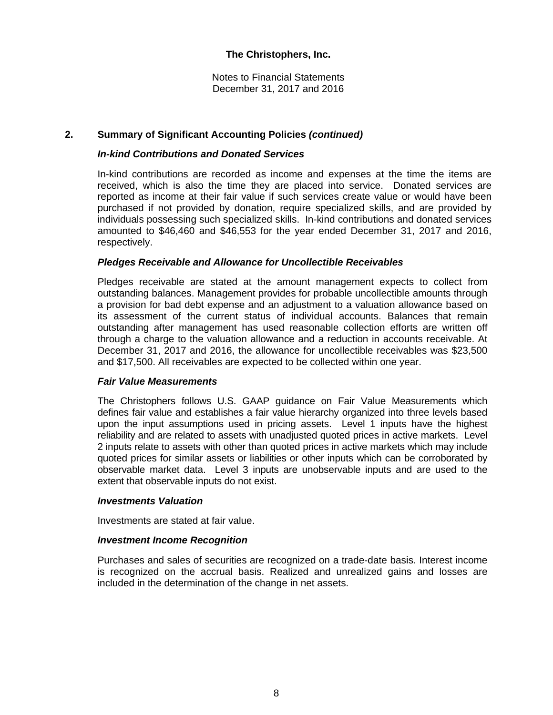Notes to Financial Statements December 31, 2017 and 2016

## **2. Summary of Significant Accounting Policies** *(continued)*

## *In-kind Contributions and Donated Services*

In-kind contributions are recorded as income and expenses at the time the items are received, which is also the time they are placed into service. Donated services are reported as income at their fair value if such services create value or would have been purchased if not provided by donation, require specialized skills, and are provided by individuals possessing such specialized skills. In-kind contributions and donated services amounted to \$46,460 and \$46,553 for the year ended December 31, 2017 and 2016, respectively.

## *Pledges Receivable and Allowance for Uncollectible Receivables*

 Pledges receivable are stated at the amount management expects to collect from outstanding balances. Management provides for probable uncollectible amounts through a provision for bad debt expense and an adjustment to a valuation allowance based on its assessment of the current status of individual accounts. Balances that remain outstanding after management has used reasonable collection efforts are written off through a charge to the valuation allowance and a reduction in accounts receivable. At December 31, 2017 and 2016, the allowance for uncollectible receivables was \$23,500 and \$17,500. All receivables are expected to be collected within one year.

## *Fair Value Measurements*

The Christophers follows U.S. GAAP guidance on Fair Value Measurements which defines fair value and establishes a fair value hierarchy organized into three levels based upon the input assumptions used in pricing assets. Level 1 inputs have the highest reliability and are related to assets with unadjusted quoted prices in active markets. Level 2 inputs relate to assets with other than quoted prices in active markets which may include quoted prices for similar assets or liabilities or other inputs which can be corroborated by observable market data. Level 3 inputs are unobservable inputs and are used to the extent that observable inputs do not exist.

## *Investments Valuation*

Investments are stated at fair value.

## *Investment Income Recognition*

Purchases and sales of securities are recognized on a trade-date basis. Interest income is recognized on the accrual basis. Realized and unrealized gains and losses are included in the determination of the change in net assets.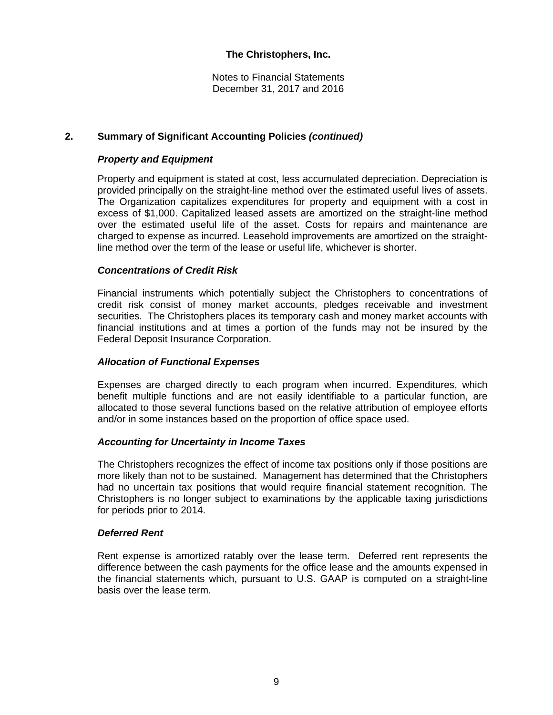Notes to Financial Statements December 31, 2017 and 2016

## **2. Summary of Significant Accounting Policies** *(continued)*

## *Property and Equipment*

Property and equipment is stated at cost, less accumulated depreciation. Depreciation is provided principally on the straight-line method over the estimated useful lives of assets. The Organization capitalizes expenditures for property and equipment with a cost in excess of \$1,000. Capitalized leased assets are amortized on the straight-line method over the estimated useful life of the asset. Costs for repairs and maintenance are charged to expense as incurred. Leasehold improvements are amortized on the straightline method over the term of the lease or useful life, whichever is shorter.

## *Concentrations of Credit Risk*

Financial instruments which potentially subject the Christophers to concentrations of credit risk consist of money market accounts, pledges receivable and investment securities. The Christophers places its temporary cash and money market accounts with financial institutions and at times a portion of the funds may not be insured by the Federal Deposit Insurance Corporation.

## *Allocation of Functional Expenses*

Expenses are charged directly to each program when incurred. Expenditures, which benefit multiple functions and are not easily identifiable to a particular function, are allocated to those several functions based on the relative attribution of employee efforts and/or in some instances based on the proportion of office space used.

## *Accounting for Uncertainty in Income Taxes*

The Christophers recognizes the effect of income tax positions only if those positions are more likely than not to be sustained. Management has determined that the Christophers had no uncertain tax positions that would require financial statement recognition. The Christophers is no longer subject to examinations by the applicable taxing jurisdictions for periods prior to 2014.

## *Deferred Rent*

Rent expense is amortized ratably over the lease term. Deferred rent represents the difference between the cash payments for the office lease and the amounts expensed in the financial statements which, pursuant to U.S. GAAP is computed on a straight-line basis over the lease term.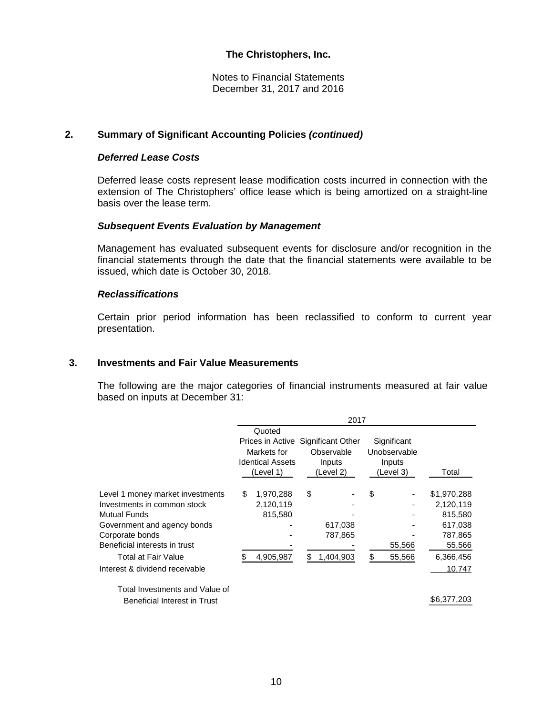Notes to Financial Statements December 31, 2017 and 2016

## **2. Summary of Significant Accounting Policies** *(continued)*

## *Deferred Lease Costs*

Deferred lease costs represent lease modification costs incurred in connection with the extension of The Christophers' office lease which is being amortized on a straight-line basis over the lease term.

## *Subsequent Events Evaluation by Management*

Management has evaluated subsequent events for disclosure and/or recognition in the financial statements through the date that the financial statements were available to be issued, which date is October 30, 2018.

## *Reclassifications*

Certain prior period information has been reclassified to conform to current year presentation.

#### **3. Investments and Fair Value Measurements**

The following are the major categories of financial instruments measured at fair value based on inputs at December 31:

|                                  |                         | 2017                               |              |             |
|----------------------------------|-------------------------|------------------------------------|--------------|-------------|
|                                  | Quoted                  |                                    |              |             |
|                                  |                         | Prices in Active Significant Other | Significant  |             |
|                                  | Markets for             | Observable                         | Unobservable |             |
|                                  | <b>Identical Assets</b> | Inputs                             | Inputs       |             |
|                                  | (Level 1)               | (Level 2)                          | (Level 3)    | Total       |
| Level 1 money market investments | \$<br>1,970,288         | \$                                 | \$           | \$1,970,288 |
| Investments in common stock      | 2,120,119               |                                    |              | 2,120,119   |
| Mutual Funds                     | 815,580                 |                                    |              | 815,580     |
| Government and agency bonds      |                         | 617,038                            |              | 617,038     |
| Corporate bonds                  |                         | 787,865                            |              | 787,865     |
| Beneficial interests in trust    |                         |                                    | 55,566       | 55,566      |
| Total at Fair Value              | 4,905,987               | 1,404,903                          | \$<br>55,566 | 6,366,456   |
| Interest & dividend receivable   |                         |                                    |              | 10,747      |
| Total Investments and Value of   |                         |                                    |              |             |
| Beneficial Interest in Trust     |                         |                                    |              | \$6,377,203 |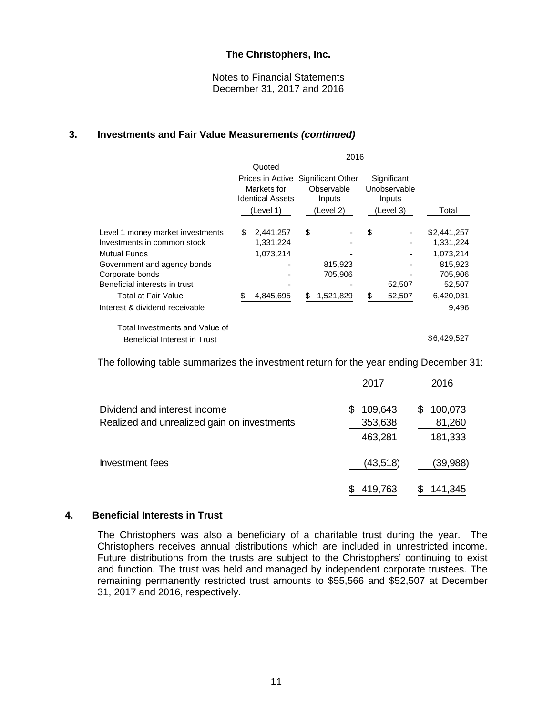Notes to Financial Statements December 31, 2017 and 2016

## **3. Investments and Fair Value Measurements** *(continued)*

|                                                                                                                                                                           |    |                                                                              | 2016                     |                                       |                                                                       |
|---------------------------------------------------------------------------------------------------------------------------------------------------------------------------|----|------------------------------------------------------------------------------|--------------------------|---------------------------------------|-----------------------------------------------------------------------|
|                                                                                                                                                                           |    | Quoted                                                                       |                          |                                       |                                                                       |
|                                                                                                                                                                           |    | Prices in Active Significant Other<br>Markets for<br><b>Identical Assets</b> | Observable<br>Inputs     | Significant<br>Unobservable<br>Inputs |                                                                       |
|                                                                                                                                                                           |    | (Level 1)                                                                    | (Level 2)                | (Level 3)                             | Total                                                                 |
| Level 1 money market investments<br>Investments in common stock<br><b>Mutual Funds</b><br>Government and agency bonds<br>Corporate bonds<br>Beneficial interests in trust | S. | 2,441,257<br>1,331,224<br>1,073,214                                          | \$<br>815,923<br>705,906 | \$<br>52,507                          | \$2,441,257<br>1,331,224<br>1,073,214<br>815,923<br>705,906<br>52,507 |
| Total at Fair Value<br>Interest & dividend receivable                                                                                                                     |    | 4,845,695                                                                    | 1,521,829                | \$<br>52,507                          | 6,420,031<br>9,496                                                    |
| Total Investments and Value of<br>Beneficial Interest in Trust                                                                                                            |    |                                                                              |                          |                                       | \$6.429.527                                                           |

The following table summarizes the investment return for the year ending December 31:

|                                                                             | 2017                               | 2016                              |
|-----------------------------------------------------------------------------|------------------------------------|-----------------------------------|
| Dividend and interest income<br>Realized and unrealized gain on investments | 109,643<br>S<br>353,638<br>463,281 | 100,073<br>S<br>81,260<br>181,333 |
| Investment fees                                                             | (43, 518)                          | (39, 988)                         |
|                                                                             | 419,763<br>S                       | 141,345<br>S                      |

#### **4. Beneficial Interests in Trust**

The Christophers was also a beneficiary of a charitable trust during the year. The Christophers receives annual distributions which are included in unrestricted income. Future distributions from the trusts are subject to the Christophers' continuing to exist and function. The trust was held and managed by independent corporate trustees. The remaining permanently restricted trust amounts to \$55,566 and \$52,507 at December 31, 2017 and 2016, respectively.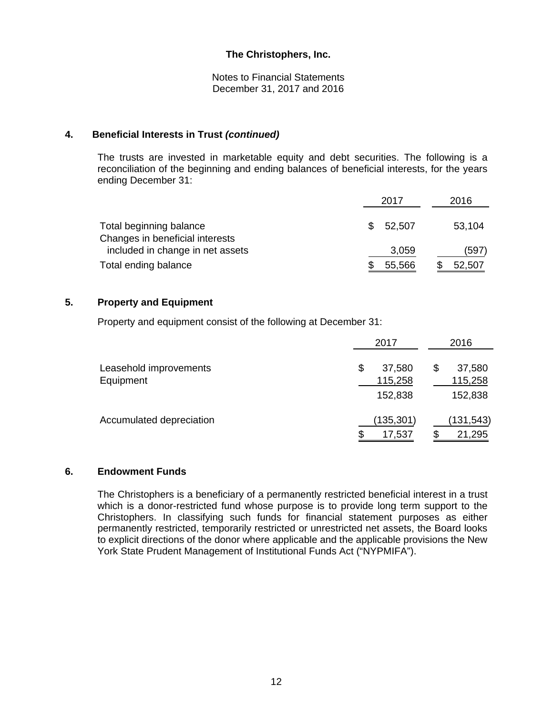Notes to Financial Statements December 31, 2017 and 2016

## **4. Beneficial Interests in Trust** *(continued)*

The trusts are invested in marketable equity and debt securities. The following is a reconciliation of the beginning and ending balances of beneficial interests, for the years ending December 31:

|                                                                     | 2017          | 2016   |  |
|---------------------------------------------------------------------|---------------|--------|--|
| Total beginning balance                                             | 52,507<br>SS. | 53,104 |  |
| Changes in beneficial interests<br>included in change in net assets | 3,059         | (597)  |  |
| Total ending balance                                                | 55,566        | 52,507 |  |

## **5. Property and Equipment**

Property and equipment consist of the following at December 31:

|                                     | 2017                               | 2016                               |
|-------------------------------------|------------------------------------|------------------------------------|
| Leasehold improvements<br>Equipment | \$<br>37,580<br>115,258<br>152,838 | \$<br>37,580<br>115,258<br>152,838 |
| Accumulated depreciation            | (135,301)<br>\$.<br>17,537         | (131,543)<br>S<br>21,295           |

## **6. Endowment Funds**

The Christophers is a beneficiary of a permanently restricted beneficial interest in a trust which is a donor-restricted fund whose purpose is to provide long term support to the Christophers. In classifying such funds for financial statement purposes as either permanently restricted, temporarily restricted or unrestricted net assets, the Board looks to explicit directions of the donor where applicable and the applicable provisions the New York State Prudent Management of Institutional Funds Act ("NYPMIFA").